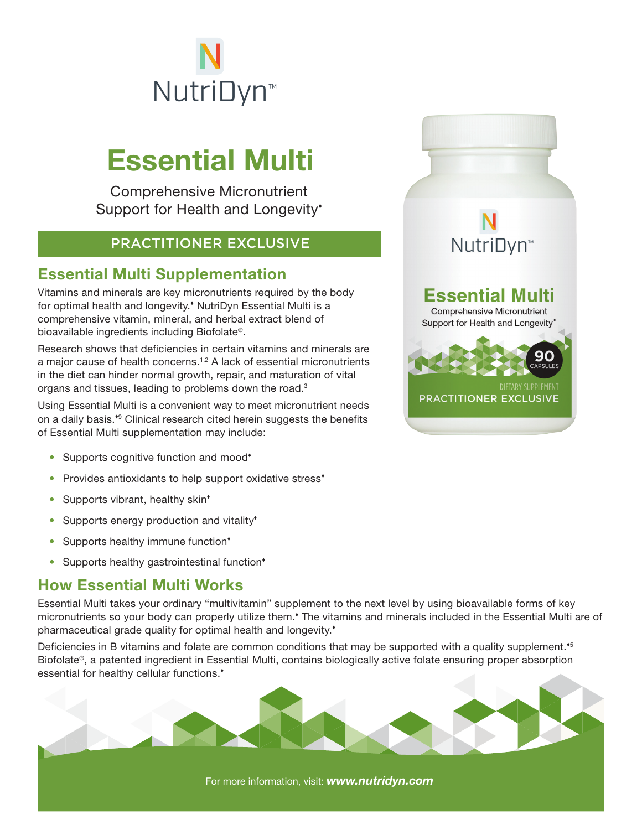

# Essential Multi

Comprehensive Micronutrient Support for Health and Longevity'

### PRACTITIONER EXCLUSIVE

### Essential Multi Supplementation

Vitamins and minerals are key micronutrients required by the body for optimal health and longevity.<sup>\*</sup> NutriDyn Essential Multi is a comprehensive vitamin, mineral, and herbal extract blend of bioavailable ingredients including Biofolate®.

Research shows that deficiencies in certain vitamins and minerals are a major cause of health concerns.1,2 A lack of essential micronutrients in the diet can hinder normal growth, repair, and maturation of vital organs and tissues, leading to problems down the road.3

Using Essential Multi is a convenient way to meet micronutrient needs on a daily basis.<sup>\*</sup> Clinical research cited herein suggests the benefits of Essential Multi supplementation may include:

- Supports cognitive function and mood<sup>\*</sup>
- Provides antioxidants to help support oxidative stress<sup>\*</sup>
- Supports vibrant, healthy skin<sup>\*</sup>
- Supports energy production and vitality<sup>\*</sup>
- Supports healthy immune function\*
- Supports healthy gastrointestinal function<sup>\*</sup>

### How Essential Multi Works

Essential Multi takes your ordinary "multivitamin" supplement to the next level by using bioavailable forms of key micronutrients so your body can properly utilize them.<sup>\*</sup> The vitamins and minerals included in the Essential Multi are of pharmaceutical grade quality for optimal health and longevity.

Deficiencies in B vitamins and folate are common conditions that may be supported with a quality supplement.<sup>5</sup> Biofolate®, a patented ingredient in Essential Multi, contains biologically active folate ensuring proper absorption essential for healthy cellular functions.